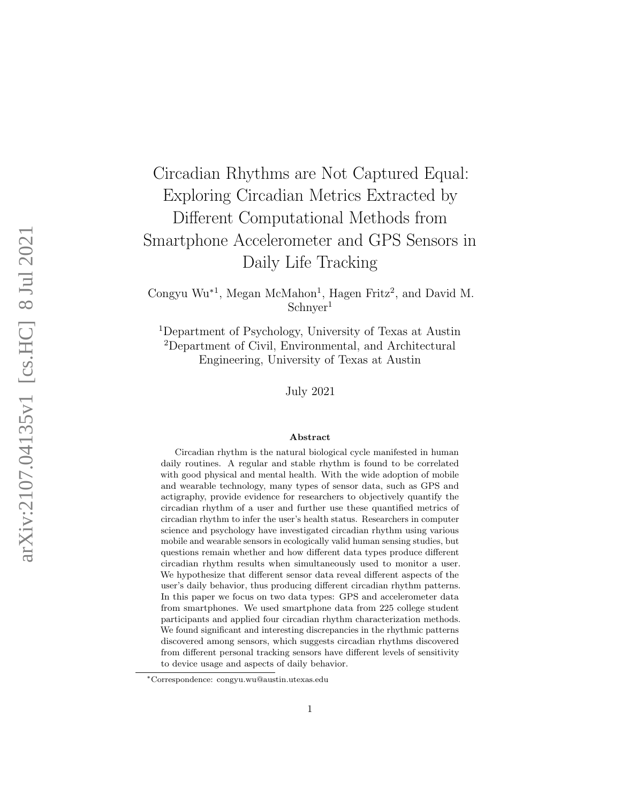# Circadian Rhythms are Not Captured Equal: Exploring Circadian Metrics Extracted by Different Computational Methods from Smartphone Accelerometer and GPS Sensors in Daily Life Tracking

Congyu Wu ∗ 1 , Megan McMahon 1 , Hagen Fritz 2 , and David M. Schnyer 1

<sup>1</sup>Department of Psychology, University of Texas at Austin <sup>2</sup>Department of Civil, Environmental, and Architectural Engineering, University of Texas at Austin

July 2021

#### Abstract

Circadian rhythm is the natural biological cycle manifested in human daily routines. A regular and stable rhythm is found to be correlated with good physical and mental health. With the wide adoption of mobile and wearable technology, many types of sensor data, such as GPS and actigraphy, provide evidence for researchers to objectively quantify the circadian rhythm of a user and further use these quantified metrics of circadian rhythm to infer the user's health status. Researchers in computer science and psychology have investigated circadian rhythm using various mobile and wearable sensors in ecologically valid human sensing studies, but questions remain whether and how different data types produce different circadian rhythm results when simultaneously used to monitor a user. We hypothesize that different sensor data reveal different aspects of the user's daily behavior, thus producing different circadian rhythm patterns. In this paper we focus on two data types: GPS and accelerometer data from smartphones. We used smartphone data from 225 college student participants and applied four circadian rhythm characterization methods. We found significant and interesting discrepancies in the rhythmic patterns discovered among sensors, which suggests circadian rhythms discovered from different personal tracking sensors have different levels of sensitivity to device usage and aspects of daily behavior.

<sup>∗</sup>Correspondence: congyu.wu@austin.utexas.edu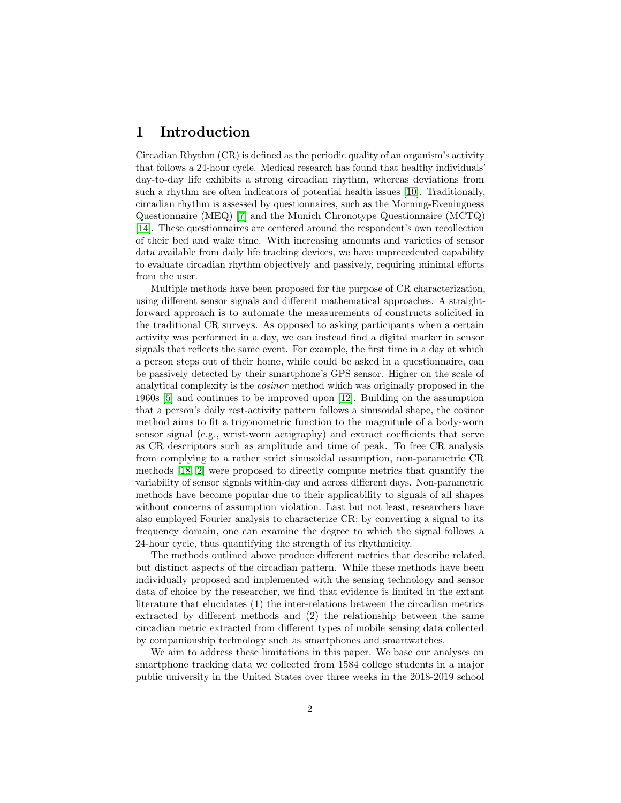## <span id="page-1-0"></span>1 Introduction

Circadian Rhythm (CR) is defined as the periodic quality of an organism's activity that follows a 24-hour cycle. Medical research has found that healthy individuals' day-to-day life exhibits a strong circadian rhythm, whereas deviations from such a rhythm are often indicators of potential health issues [\[10\]](#page-13-0). Traditionally, circadian rhythm is assessed by questionnaires, such as the Morning-Eveningness Questionnaire (MEQ) [\[7\]](#page-12-0) and the Munich Chronotype Questionnaire (MCTQ) [\[14\]](#page-13-1). These questionnaires are centered around the respondent's own recollection of their bed and wake time. With increasing amounts and varieties of sensor data available from daily life tracking devices, we have unprecedented capability to evaluate circadian rhythm objectively and passively, requiring minimal efforts from the user.

Multiple methods have been proposed for the purpose of CR characterization, using different sensor signals and different mathematical approaches. A straightforward approach is to automate the measurements of constructs solicited in the traditional CR surveys. As opposed to asking participants when a certain activity was performed in a day, we can instead find a digital marker in sensor signals that reflects the same event. For example, the first time in a day at which a person steps out of their home, while could be asked in a questionnaire, can be passively detected by their smartphone's GPS sensor. Higher on the scale of analytical complexity is the cosinor method which was originally proposed in the 1960s [\[5\]](#page-12-1) and continues to be improved upon [\[12\]](#page-13-2). Building on the assumption that a person's daily rest-activity pattern follows a sinusoidal shape, the cosinor method aims to fit a trigonometric function to the magnitude of a body-worn sensor signal (e.g., wrist-worn actigraphy) and extract coefficients that serve as CR descriptors such as amplitude and time of peak. To free CR analysis from complying to a rather strict sinusoidal assumption, non-parametric CR methods [\[18,](#page-13-3) [2\]](#page-12-2) were proposed to directly compute metrics that quantify the variability of sensor signals within-day and across different days. Non-parametric methods have become popular due to their applicability to signals of all shapes without concerns of assumption violation. Last but not least, researchers have also employed Fourier analysis to characterize CR: by converting a signal to its frequency domain, one can examine the degree to which the signal follows a 24-hour cycle, thus quantifying the strength of its rhythmicity.

The methods outlined above produce different metrics that describe related, but distinct aspects of the circadian pattern. While these methods have been individually proposed and implemented with the sensing technology and sensor data of choice by the researcher, we find that evidence is limited in the extant literature that elucidates (1) the inter-relations between the circadian metrics extracted by different methods and (2) the relationship between the same circadian metric extracted from different types of mobile sensing data collected by companionship technology such as smartphones and smartwatches.

We aim to address these limitations in this paper. We base our analyses on smartphone tracking data we collected from 1584 college students in a major public university in the United States over three weeks in the 2018-2019 school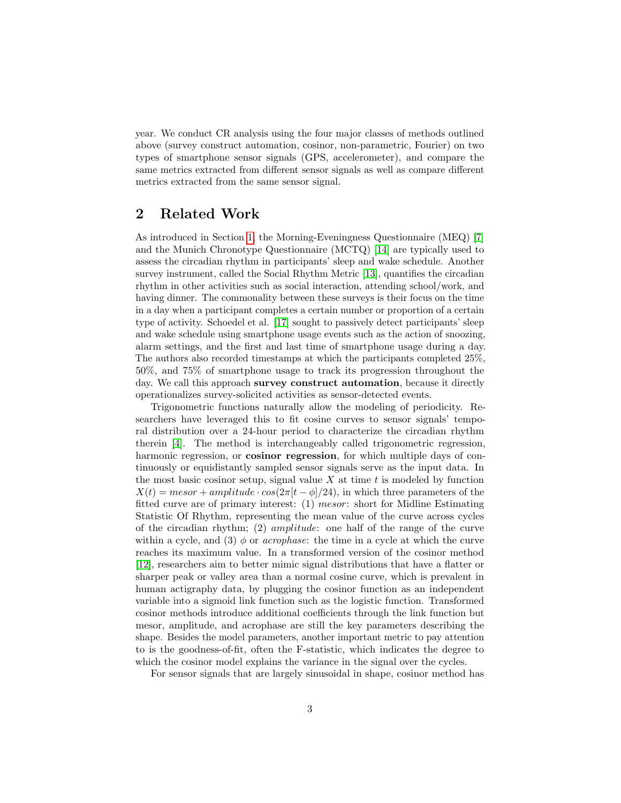year. We conduct CR analysis using the four major classes of methods outlined above (survey construct automation, cosinor, non-parametric, Fourier) on two types of smartphone sensor signals (GPS, accelerometer), and compare the same metrics extracted from different sensor signals as well as compare different metrics extracted from the same sensor signal.

## <span id="page-2-0"></span>2 Related Work

As introduced in Section [1,](#page-1-0) the Morning-Eveningness Questionnaire (MEQ) [\[7\]](#page-12-0) and the Munich Chronotype Questionnaire (MCTQ) [\[14\]](#page-13-1) are typically used to assess the circadian rhythm in participants' sleep and wake schedule. Another survey instrument, called the Social Rhythm Metric [\[13\]](#page-13-4), quantifies the circadian rhythm in other activities such as social interaction, attending school/work, and having dinner. The commonality between these surveys is their focus on the time in a day when a participant completes a certain number or proportion of a certain type of activity. Schoedel et al. [\[17\]](#page-13-5) sought to passively detect participants' sleep and wake schedule using smartphone usage events such as the action of snoozing, alarm settings, and the first and last time of smartphone usage during a day. The authors also recorded timestamps at which the participants completed 25%, 50%, and 75% of smartphone usage to track its progression throughout the day. We call this approach survey construct automation, because it directly operationalizes survey-solicited activities as sensor-detected events.

Trigonometric functions naturally allow the modeling of periodicity. Researchers have leveraged this to fit cosine curves to sensor signals' temporal distribution over a 24-hour period to characterize the circadian rhythm therein [\[4\]](#page-12-3). The method is interchangeably called trigonometric regression, harmonic regression, or **cosinor regression**, for which multiple days of continuously or equidistantly sampled sensor signals serve as the input data. In the most basic cosinor setup, signal value  $X$  at time  $t$  is modeled by function  $X(t) = mesor + amplitude \cdot cos(2\pi |t-\phi|/24)$ , in which three parameters of the fitted curve are of primary interest: (1) mesor: short for Midline Estimating Statistic Of Rhythm, representing the mean value of the curve across cycles of the circadian rhythm; (2) amplitude: one half of the range of the curve within a cycle, and (3)  $\phi$  or *acrophase*: the time in a cycle at which the curve reaches its maximum value. In a transformed version of the cosinor method [\[12\]](#page-13-2), researchers aim to better mimic signal distributions that have a flatter or sharper peak or valley area than a normal cosine curve, which is prevalent in human actigraphy data, by plugging the cosinor function as an independent variable into a sigmoid link function such as the logistic function. Transformed cosinor methods introduce additional coefficients through the link function but mesor, amplitude, and acrophase are still the key parameters describing the shape. Besides the model parameters, another important metric to pay attention to is the goodness-of-fit, often the F-statistic, which indicates the degree to which the cosinor model explains the variance in the signal over the cycles.

For sensor signals that are largely sinusoidal in shape, cosinor method has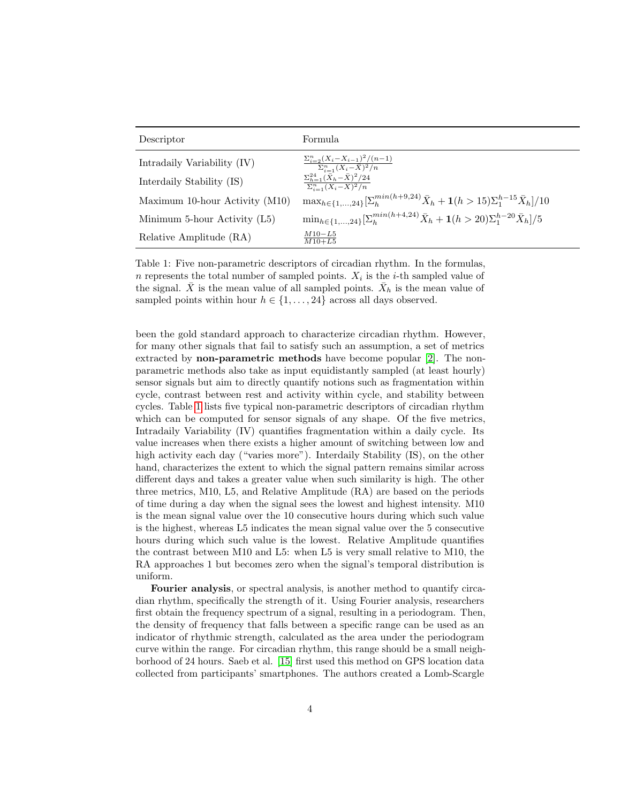<span id="page-3-0"></span>

| Descriptor                     | Formula                                                                                                            |
|--------------------------------|--------------------------------------------------------------------------------------------------------------------|
| Intradaily Variability (IV)    | $\frac{\sum_{i=2}^{n}(X_i - X_{i-1})^2/(n-1)}{\sum_{i=1}^{n}(X_i - \bar{X})^2/n}$                                  |
| Interdaily Stability (IS)      | $\sum_{h=1}^{24} (\bar{X}_h - \bar{X})^2/24$<br>$\sum_{i=1}^n (X_i - \overline{X})^2/n$                            |
| Maximum 10-hour Activity (M10) | $\max_{h \in \{1,,24\}} \left[\sum_{h}^{min(h+9,24)} \bar{X}_h + 1(h > 15)\sum_{1}^{h-15} \bar{X}_h\right] / 10$   |
| Minimum 5-hour Activity (L5)   | $\min_{h \in \{1,,24\}} \left[ \sum_{h}^{min(h+4,24)} \bar{X}_h + 1(h > 20) \sum_{1}^{h-20} \bar{X}_h \right] / 5$ |
| Relative Amplitude (RA)        | $M10 - L5$<br>$M10+L5$                                                                                             |

Table 1: Five non-parametric descriptors of circadian rhythm. In the formulas, n represents the total number of sampled points.  $X_i$  is the *i*-th sampled value of the signal.  $\bar{X}$  is the mean value of all sampled points.  $\bar{X}_h$  is the mean value of sampled points within hour  $h \in \{1, \ldots, 24\}$  across all days observed.

been the gold standard approach to characterize circadian rhythm. However, for many other signals that fail to satisfy such an assumption, a set of metrics extracted by non-parametric methods have become popular [\[2\]](#page-12-2). The nonparametric methods also take as input equidistantly sampled (at least hourly) sensor signals but aim to directly quantify notions such as fragmentation within cycle, contrast between rest and activity within cycle, and stability between cycles. Table [1](#page-3-0) lists five typical non-parametric descriptors of circadian rhythm which can be computed for sensor signals of any shape. Of the five metrics, Intradaily Variability (IV) quantifies fragmentation within a daily cycle. Its value increases when there exists a higher amount of switching between low and high activity each day ("varies more"). Interdaily Stability (IS), on the other hand, characterizes the extent to which the signal pattern remains similar across different days and takes a greater value when such similarity is high. The other three metrics, M10, L5, and Relative Amplitude (RA) are based on the periods of time during a day when the signal sees the lowest and highest intensity. M10 is the mean signal value over the 10 consecutive hours during which such value is the highest, whereas L5 indicates the mean signal value over the 5 consecutive hours during which such value is the lowest. Relative Amplitude quantifies the contrast between M10 and L5: when L5 is very small relative to M10, the RA approaches 1 but becomes zero when the signal's temporal distribution is uniform.

Fourier analysis, or spectral analysis, is another method to quantify circadian rhythm, specifically the strength of it. Using Fourier analysis, researchers first obtain the frequency spectrum of a signal, resulting in a periodogram. Then, the density of frequency that falls between a specific range can be used as an indicator of rhythmic strength, calculated as the area under the periodogram curve within the range. For circadian rhythm, this range should be a small neighborhood of 24 hours. Saeb et al. [\[15\]](#page-13-6) first used this method on GPS location data collected from participants' smartphones. The authors created a Lomb-Scargle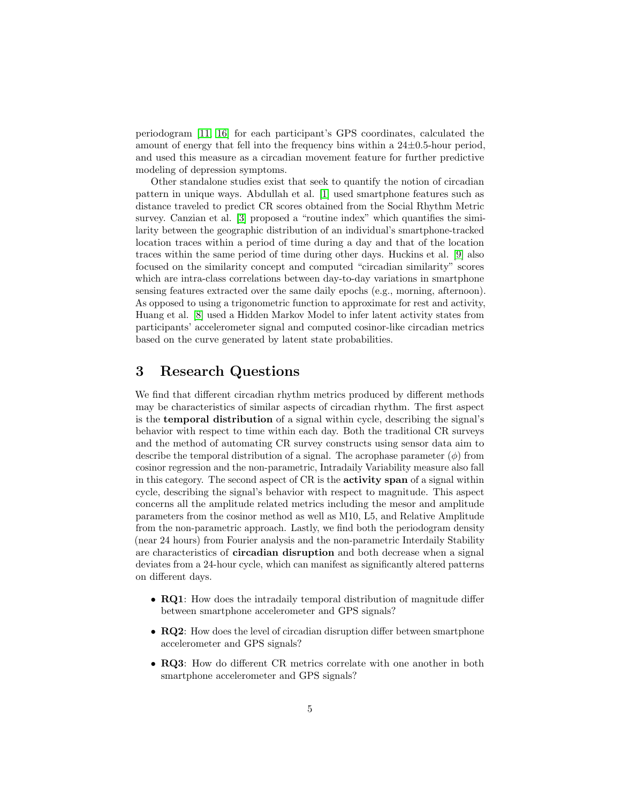periodogram [\[11,](#page-13-7) [16\]](#page-13-8) for each participant's GPS coordinates, calculated the amount of energy that fell into the frequency bins within a  $24\pm0.5$ -hour period, and used this measure as a circadian movement feature for further predictive modeling of depression symptoms.

Other standalone studies exist that seek to quantify the notion of circadian pattern in unique ways. Abdullah et al. [\[1\]](#page-12-4) used smartphone features such as distance traveled to predict CR scores obtained from the Social Rhythm Metric survey. Canzian et al. [\[3\]](#page-12-5) proposed a "routine index" which quantifies the similarity between the geographic distribution of an individual's smartphone-tracked location traces within a period of time during a day and that of the location traces within the same period of time during other days. Huckins et al. [\[9\]](#page-12-6) also focused on the similarity concept and computed "circadian similarity" scores which are intra-class correlations between day-to-day variations in smartphone sensing features extracted over the same daily epochs (e.g., morning, afternoon). As opposed to using a trigonometric function to approximate for rest and activity, Huang et al. [\[8\]](#page-12-7) used a Hidden Markov Model to infer latent activity states from participants' accelerometer signal and computed cosinor-like circadian metrics based on the curve generated by latent state probabilities.

## <span id="page-4-0"></span>3 Research Questions

We find that different circadian rhythm metrics produced by different methods may be characteristics of similar aspects of circadian rhythm. The first aspect is the temporal distribution of a signal within cycle, describing the signal's behavior with respect to time within each day. Both the traditional CR surveys and the method of automating CR survey constructs using sensor data aim to describe the temporal distribution of a signal. The acrophase parameter  $(\phi)$  from cosinor regression and the non-parametric, Intradaily Variability measure also fall in this category. The second aspect of CR is the activity span of a signal within cycle, describing the signal's behavior with respect to magnitude. This aspect concerns all the amplitude related metrics including the mesor and amplitude parameters from the cosinor method as well as M10, L5, and Relative Amplitude from the non-parametric approach. Lastly, we find both the periodogram density (near 24 hours) from Fourier analysis and the non-parametric Interdaily Stability are characteristics of circadian disruption and both decrease when a signal deviates from a 24-hour cycle, which can manifest as significantly altered patterns on different days.

- **RQ1**: How does the intradaily temporal distribution of magnitude differ between smartphone accelerometer and GPS signals?
- RQ2: How does the level of circadian disruption differ between smartphone accelerometer and GPS signals?
- RQ3: How do different CR metrics correlate with one another in both smartphone accelerometer and GPS signals?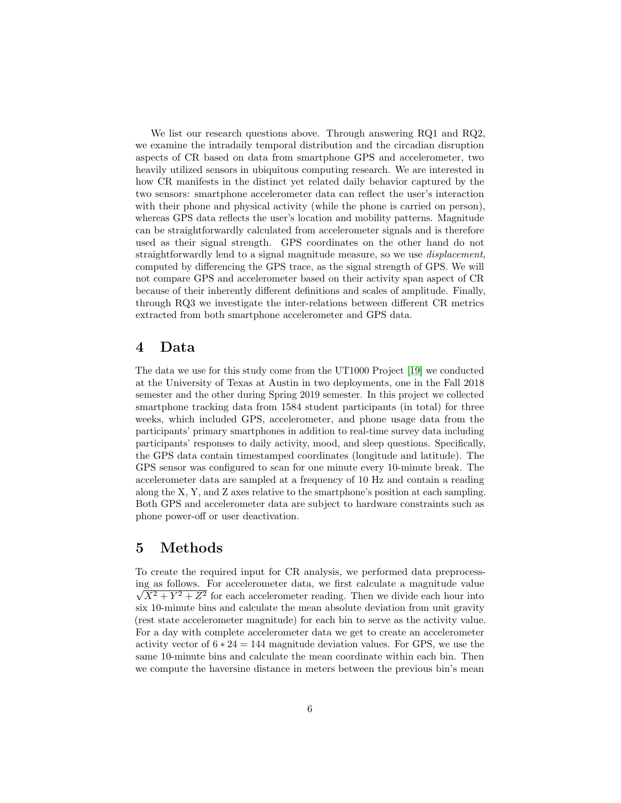We list our research questions above. Through answering RQ1 and RQ2, we examine the intradaily temporal distribution and the circadian disruption aspects of CR based on data from smartphone GPS and accelerometer, two heavily utilized sensors in ubiquitous computing research. We are interested in how CR manifests in the distinct yet related daily behavior captured by the two sensors: smartphone accelerometer data can reflect the user's interaction with their phone and physical activity (while the phone is carried on person), whereas GPS data reflects the user's location and mobility patterns. Magnitude can be straightforwardly calculated from accelerometer signals and is therefore used as their signal strength. GPS coordinates on the other hand do not straightforwardly lend to a signal magnitude measure, so we use displacement, computed by differencing the GPS trace, as the signal strength of GPS. We will not compare GPS and accelerometer based on their activity span aspect of CR because of their inherently different definitions and scales of amplitude. Finally, through RQ3 we investigate the inter-relations between different CR metrics extracted from both smartphone accelerometer and GPS data.

## 4 Data

The data we use for this study come from the UT1000 Project [\[19\]](#page-13-9) we conducted at the University of Texas at Austin in two deployments, one in the Fall 2018 semester and the other during Spring 2019 semester. In this project we collected smartphone tracking data from 1584 student participants (in total) for three weeks, which included GPS, accelerometer, and phone usage data from the participants' primary smartphones in addition to real-time survey data including participants' responses to daily activity, mood, and sleep questions. Specifically, the GPS data contain timestamped coordinates (longitude and latitude). The GPS sensor was configured to scan for one minute every 10-minute break. The accelerometer data are sampled at a frequency of 10 Hz and contain a reading along the X, Y, and Z axes relative to the smartphone's position at each sampling. Both GPS and accelerometer data are subject to hardware constraints such as phone power-off or user deactivation.

## <span id="page-5-0"></span>5 Methods

To create the required input for CR analysis, we performed data preprocessing as follows. For accelerometer data, we first calculate a magnitude value √  $\sqrt{X^2 + Y^2 + Z^2}$  for each accelerometer reading. Then we divide each hour into six 10-minute bins and calculate the mean absolute deviation from unit gravity (rest state accelerometer magnitude) for each bin to serve as the activity value. For a day with complete accelerometer data we get to create an accelerometer activity vector of  $6 * 24 = 144$  magnitude deviation values. For GPS, we use the same 10-minute bins and calculate the mean coordinate within each bin. Then we compute the haversine distance in meters between the previous bin's mean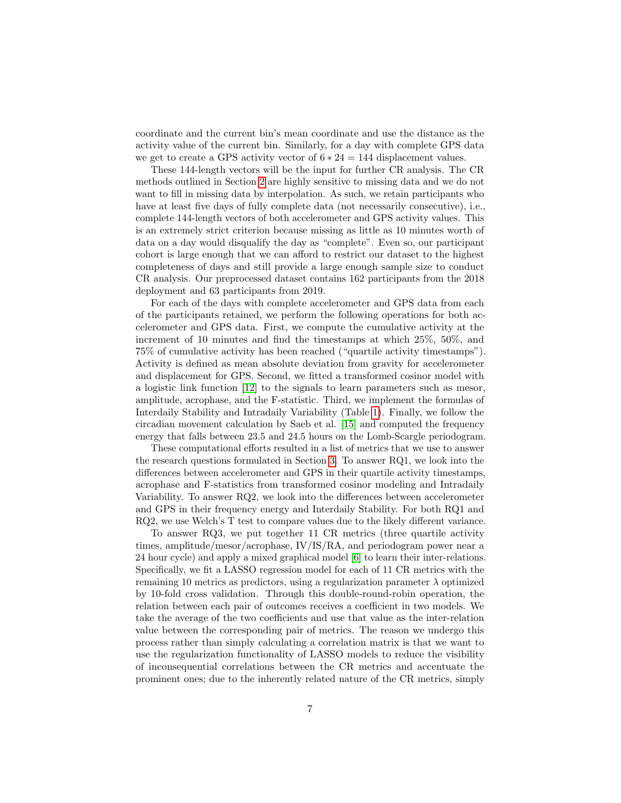coordinate and the current bin's mean coordinate and use the distance as the activity value of the current bin. Similarly, for a day with complete GPS data we get to create a GPS activity vector of  $6 * 24 = 144$  displacement values.

These 144-length vectors will be the input for further CR analysis. The CR methods outlined in Section [2](#page-2-0) are highly sensitive to missing data and we do not want to fill in missing data by interpolation. As such, we retain participants who have at least five days of fully complete data (not necessarily consecutive), i.e., complete 144-length vectors of both accelerometer and GPS activity values. This is an extremely strict criterion because missing as little as 10 minutes worth of data on a day would disqualify the day as "complete". Even so, our participant cohort is large enough that we can afford to restrict our dataset to the highest completeness of days and still provide a large enough sample size to conduct CR analysis. Our preprocessed dataset contains 162 participants from the 2018 deployment and 63 participants from 2019.

For each of the days with complete accelerometer and GPS data from each of the participants retained, we perform the following operations for both accelerometer and GPS data. First, we compute the cumulative activity at the increment of 10 minutes and find the timestamps at which 25%, 50%, and 75% of cumulative activity has been reached ("quartile activity timestamps"). Activity is defined as mean absolute deviation from gravity for accelerometer and displacement for GPS. Second, we fitted a transformed cosinor model with a logistic link function [\[12\]](#page-13-2) to the signals to learn parameters such as mesor, amplitude, acrophase, and the F-statistic. Third, we implement the formulas of Interdaily Stability and Intradaily Variability (Table [1\)](#page-3-0). Finally, we follow the circadian movement calculation by Saeb et al. [\[15\]](#page-13-6) and computed the frequency energy that falls between 23.5 and 24.5 hours on the Lomb-Scargle periodogram.

These computational efforts resulted in a list of metrics that we use to answer the research questions formulated in Section [3.](#page-4-0) To answer RQ1, we look into the differences between accelerometer and GPS in their quartile activity timestamps, acrophase and F-statistics from transformed cosinor modeling and Intradaily Variability. To answer RQ2, we look into the differences between accelerometer and GPS in their frequency energy and Interdaily Stability. For both RQ1 and RQ2, we use Welch's T test to compare values due to the likely different variance.

To answer RQ3, we put together 11 CR metrics (three quartile activity times, amplitude/mesor/acrophase, IV/IS/RA, and periodogram power near a 24 hour cycle) and apply a mixed graphical model [\[6\]](#page-12-8) to learn their inter-relations. Specifically, we fit a LASSO regression model for each of 11 CR metrics with the remaining 10 metrics as predictors, using a regularization parameter  $\lambda$  optimized by 10-fold cross validation. Through this double-round-robin operation, the relation between each pair of outcomes receives a coefficient in two models. We take the average of the two coefficients and use that value as the inter-relation value between the corresponding pair of metrics. The reason we undergo this process rather than simply calculating a correlation matrix is that we want to use the regularization functionality of LASSO models to reduce the visibility of inconsequential correlations between the CR metrics and accentuate the prominent ones; due to the inherently related nature of the CR metrics, simply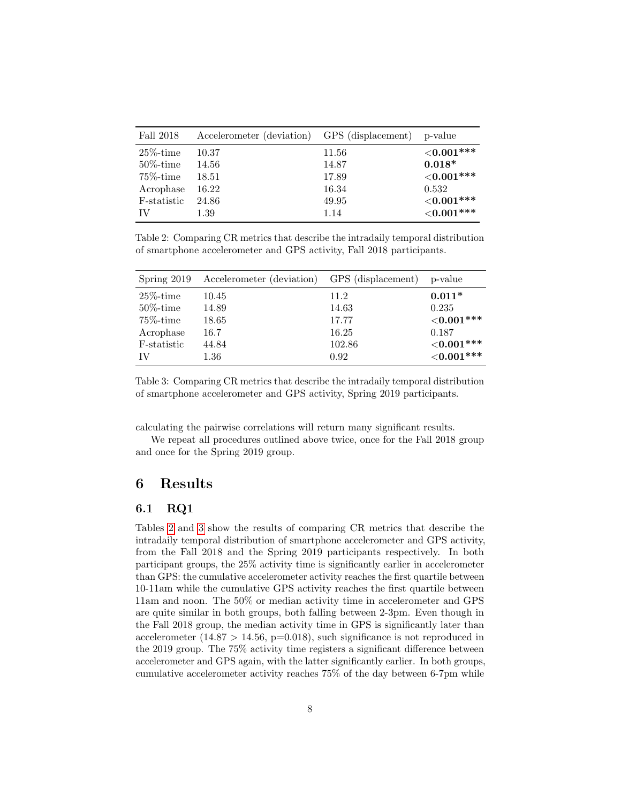<span id="page-7-0"></span>

| Fall 2018    | Accelerometer (deviation) GPS (displacement) |       | p-value       |
|--------------|----------------------------------------------|-------|---------------|
| $25\%$ -time | 10.37                                        | 11.56 | ${<}0.001***$ |
| $50\%$ -time | 14.56                                        | 14.87 | $0.018*$      |
| $75\%$ -time | 18.51                                        | 17.89 | ${<}0.001***$ |
| Acrophase    | 16.22                                        | 16.34 | 0.532         |
| F-statistic  | 24.86                                        | 49.95 | ${<}0.001***$ |
| TV           | 1.39                                         | 1.14  | ${<}0.001***$ |

Table 2: Comparing CR metrics that describe the intradaily temporal distribution of smartphone accelerometer and GPS activity, Fall 2018 participants.

|              | Spring 2019 Accelerometer (deviation) GPS (displacement) |        | p-value       |
|--------------|----------------------------------------------------------|--------|---------------|
| $25\%$ -time | 10.45                                                    | 11.2   | $0.011*$      |
| $50\%$ -time | 14.89                                                    | 14.63  | 0.235         |
| $75\%$ -time | 18.65                                                    | 17.77  | ${<}0.001***$ |
| Acrophase    | 16.7                                                     | 16.25  | 0.187         |
| F-statistic  | 44.84                                                    | 102.86 | ${<}0.001***$ |
| IV           | $1.36\,$                                                 | 0.92   | ${<}0.001***$ |

Table 3: Comparing CR metrics that describe the intradaily temporal distribution of smartphone accelerometer and GPS activity, Spring 2019 participants.

calculating the pairwise correlations will return many significant results.

We repeat all procedures outlined above twice, once for the Fall 2018 group and once for the Spring 2019 group.

## 6 Results

### 6.1 RQ1

Tables [2](#page-7-0) and [3](#page-7-0) show the results of comparing CR metrics that describe the intradaily temporal distribution of smartphone accelerometer and GPS activity, from the Fall 2018 and the Spring 2019 participants respectively. In both participant groups, the 25% activity time is significantly earlier in accelerometer than GPS: the cumulative accelerometer activity reaches the first quartile between 10-11am while the cumulative GPS activity reaches the first quartile between 11am and noon. The 50% or median activity time in accelerometer and GPS are quite similar in both groups, both falling between 2-3pm. Even though in the Fall 2018 group, the median activity time in GPS is significantly later than accelerometer (14.87 > 14.56,  $p=0.018$ ), such significance is not reproduced in the 2019 group. The 75% activity time registers a significant difference between accelerometer and GPS again, with the latter significantly earlier. In both groups, cumulative accelerometer activity reaches 75% of the day between 6-7pm while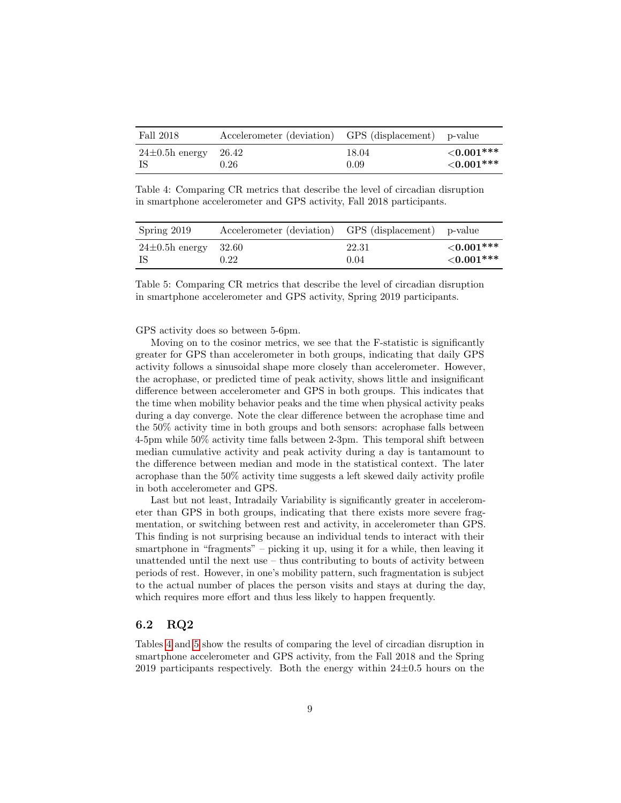<span id="page-8-0"></span>

| Fall 2018                | Accelerometer (deviation) GPS (displacement) p-value |       |                  |
|--------------------------|------------------------------------------------------|-------|------------------|
| $24\pm0.5h$ energy 26.42 | 0.26                                                 | 18.04 | $\leq 0.001$ *** |
| - IS                     |                                                      | 0.09  | $\leq 0.001$ *** |

Table 4: Comparing CR metrics that describe the level of circadian disruption in smartphone accelerometer and GPS activity, Fall 2018 participants.

| Spring 2019        | Accelerometer (deviation) GPS (displacement) p-value |       |                  |
|--------------------|------------------------------------------------------|-------|------------------|
| $24\pm0.5h$ energy | - 32.60                                              | 22.31 | $\leq 0.001$ *** |
| - IS               | 0.22                                                 | 0.04  | ${<}0.001***$    |

Table 5: Comparing CR metrics that describe the level of circadian disruption in smartphone accelerometer and GPS activity, Spring 2019 participants.

GPS activity does so between 5-6pm.

Moving on to the cosinor metrics, we see that the F-statistic is significantly greater for GPS than accelerometer in both groups, indicating that daily GPS activity follows a sinusoidal shape more closely than accelerometer. However, the acrophase, or predicted time of peak activity, shows little and insignificant difference between accelerometer and GPS in both groups. This indicates that the time when mobility behavior peaks and the time when physical activity peaks during a day converge. Note the clear difference between the acrophase time and the 50% activity time in both groups and both sensors: acrophase falls between 4-5pm while 50% activity time falls between 2-3pm. This temporal shift between median cumulative activity and peak activity during a day is tantamount to the difference between median and mode in the statistical context. The later acrophase than the 50% activity time suggests a left skewed daily activity profile in both accelerometer and GPS.

Last but not least, Intradaily Variability is significantly greater in accelerometer than GPS in both groups, indicating that there exists more severe fragmentation, or switching between rest and activity, in accelerometer than GPS. This finding is not surprising because an individual tends to interact with their smartphone in "fragments" – picking it up, using it for a while, then leaving it unattended until the next use – thus contributing to bouts of activity between periods of rest. However, in one's mobility pattern, such fragmentation is subject to the actual number of places the person visits and stays at during the day, which requires more effort and thus less likely to happen frequently.

#### 6.2 RQ2

Tables [4](#page-8-0) and [5](#page-8-0) show the results of comparing the level of circadian disruption in smartphone accelerometer and GPS activity, from the Fall 2018 and the Spring 2019 participants respectively. Both the energy within  $24\pm0.5$  hours on the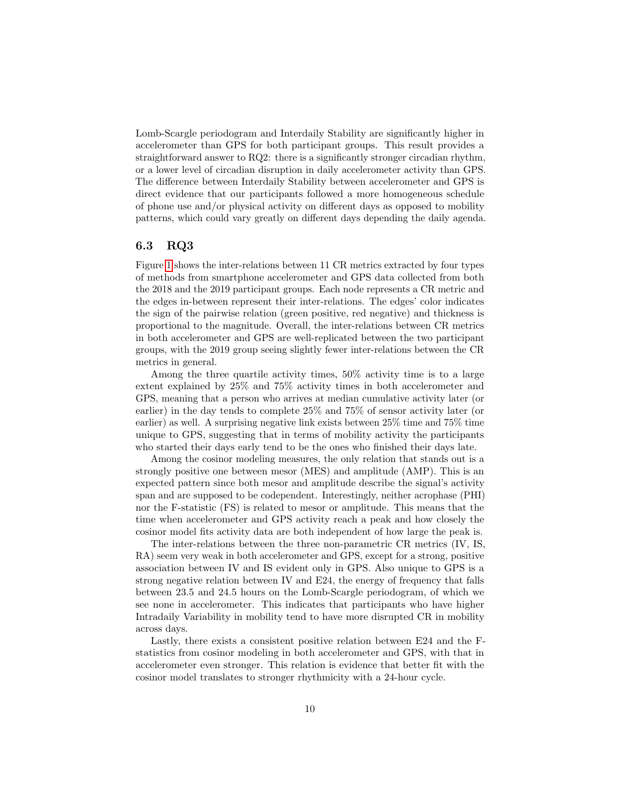Lomb-Scargle periodogram and Interdaily Stability are significantly higher in accelerometer than GPS for both participant groups. This result provides a straightforward answer to RQ2: there is a significantly stronger circadian rhythm, or a lower level of circadian disruption in daily accelerometer activity than GPS. The difference between Interdaily Stability between accelerometer and GPS is direct evidence that our participants followed a more homogeneous schedule of phone use and/or physical activity on different days as opposed to mobility patterns, which could vary greatly on different days depending the daily agenda.

#### 6.3 RQ3

Figure [1](#page-10-0) shows the inter-relations between 11 CR metrics extracted by four types of methods from smartphone accelerometer and GPS data collected from both the 2018 and the 2019 participant groups. Each node represents a CR metric and the edges in-between represent their inter-relations. The edges' color indicates the sign of the pairwise relation (green positive, red negative) and thickness is proportional to the magnitude. Overall, the inter-relations between CR metrics in both accelerometer and GPS are well-replicated between the two participant groups, with the 2019 group seeing slightly fewer inter-relations between the CR metrics in general.

Among the three quartile activity times, 50% activity time is to a large extent explained by 25% and 75% activity times in both accelerometer and GPS, meaning that a person who arrives at median cumulative activity later (or earlier) in the day tends to complete 25% and 75% of sensor activity later (or earlier) as well. A surprising negative link exists between 25% time and 75% time unique to GPS, suggesting that in terms of mobility activity the participants who started their days early tend to be the ones who finished their days late.

Among the cosinor modeling measures, the only relation that stands out is a strongly positive one between mesor (MES) and amplitude (AMP). This is an expected pattern since both mesor and amplitude describe the signal's activity span and are supposed to be codependent. Interestingly, neither acrophase (PHI) nor the F-statistic (FS) is related to mesor or amplitude. This means that the time when accelerometer and GPS activity reach a peak and how closely the cosinor model fits activity data are both independent of how large the peak is.

The inter-relations between the three non-parametric CR metrics (IV, IS, RA) seem very weak in both accelerometer and GPS, except for a strong, positive association between IV and IS evident only in GPS. Also unique to GPS is a strong negative relation between IV and E24, the energy of frequency that falls between 23.5 and 24.5 hours on the Lomb-Scargle periodogram, of which we see none in accelerometer. This indicates that participants who have higher Intradaily Variability in mobility tend to have more disrupted CR in mobility across days.

Lastly, there exists a consistent positive relation between E24 and the Fstatistics from cosinor modeling in both accelerometer and GPS, with that in accelerometer even stronger. This relation is evidence that better fit with the cosinor model translates to stronger rhythmicity with a 24-hour cycle.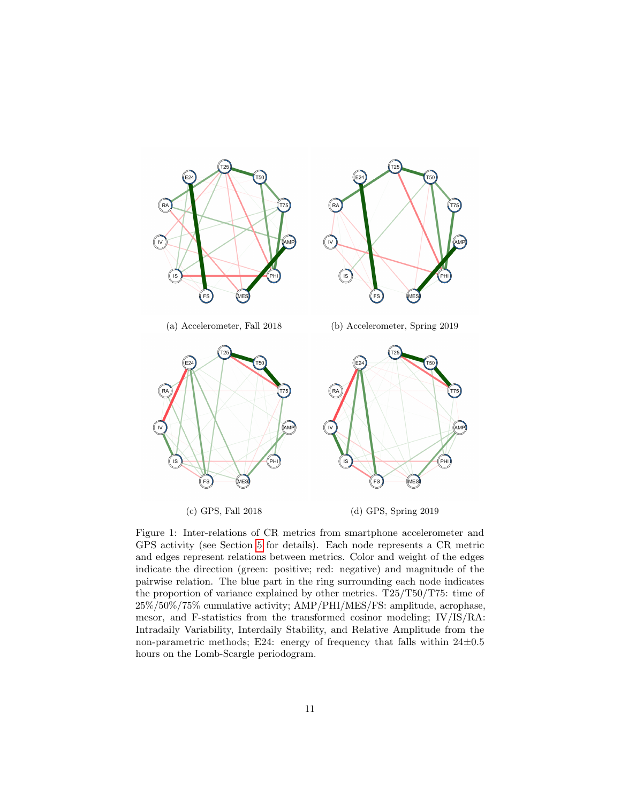<span id="page-10-0"></span>

Figure 1: Inter-relations of CR metrics from smartphone accelerometer and GPS activity (see Section [5](#page-5-0) for details). Each node represents a CR metric and edges represent relations between metrics. Color and weight of the edges indicate the direction (green: positive; red: negative) and magnitude of the pairwise relation. The blue part in the ring surrounding each node indicates the proportion of variance explained by other metrics. T25/T50/T75: time of 25%/50%/75% cumulative activity; AMP/PHI/MES/FS: amplitude, acrophase, mesor, and F-statistics from the transformed cosinor modeling; IV/IS/RA: Intradaily Variability, Interdaily Stability, and Relative Amplitude from the non-parametric methods; E24: energy of frequency that falls within  $24\pm0.5$ hours on the Lomb-Scargle periodogram.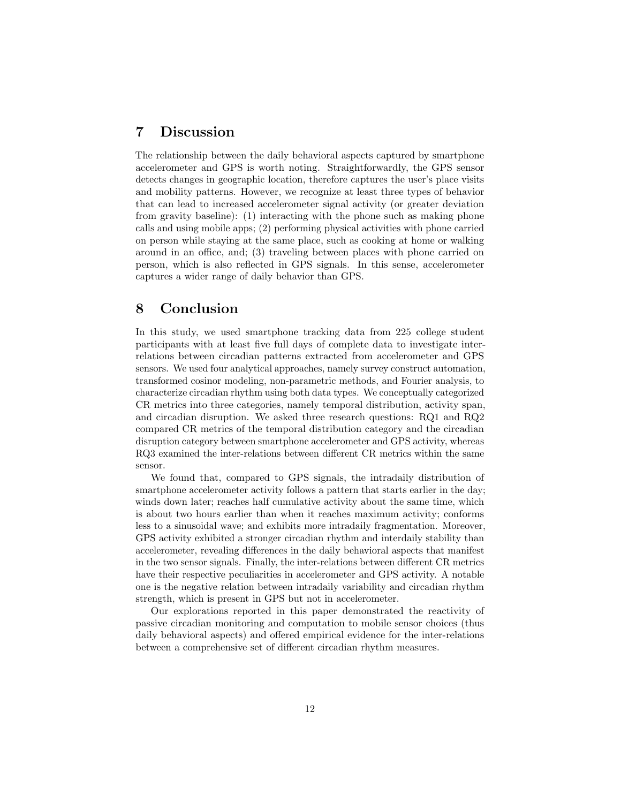## 7 Discussion

The relationship between the daily behavioral aspects captured by smartphone accelerometer and GPS is worth noting. Straightforwardly, the GPS sensor detects changes in geographic location, therefore captures the user's place visits and mobility patterns. However, we recognize at least three types of behavior that can lead to increased accelerometer signal activity (or greater deviation from gravity baseline): (1) interacting with the phone such as making phone calls and using mobile apps; (2) performing physical activities with phone carried on person while staying at the same place, such as cooking at home or walking around in an office, and; (3) traveling between places with phone carried on person, which is also reflected in GPS signals. In this sense, accelerometer captures a wider range of daily behavior than GPS.

## 8 Conclusion

In this study, we used smartphone tracking data from 225 college student participants with at least five full days of complete data to investigate interrelations between circadian patterns extracted from accelerometer and GPS sensors. We used four analytical approaches, namely survey construct automation, transformed cosinor modeling, non-parametric methods, and Fourier analysis, to characterize circadian rhythm using both data types. We conceptually categorized CR metrics into three categories, namely temporal distribution, activity span, and circadian disruption. We asked three research questions: RQ1 and RQ2 compared CR metrics of the temporal distribution category and the circadian disruption category between smartphone accelerometer and GPS activity, whereas RQ3 examined the inter-relations between different CR metrics within the same sensor.

We found that, compared to GPS signals, the intradaily distribution of smartphone accelerometer activity follows a pattern that starts earlier in the day; winds down later; reaches half cumulative activity about the same time, which is about two hours earlier than when it reaches maximum activity; conforms less to a sinusoidal wave; and exhibits more intradaily fragmentation. Moreover, GPS activity exhibited a stronger circadian rhythm and interdaily stability than accelerometer, revealing differences in the daily behavioral aspects that manifest in the two sensor signals. Finally, the inter-relations between different CR metrics have their respective peculiarities in accelerometer and GPS activity. A notable one is the negative relation between intradaily variability and circadian rhythm strength, which is present in GPS but not in accelerometer.

Our explorations reported in this paper demonstrated the reactivity of passive circadian monitoring and computation to mobile sensor choices (thus daily behavioral aspects) and offered empirical evidence for the inter-relations between a comprehensive set of different circadian rhythm measures.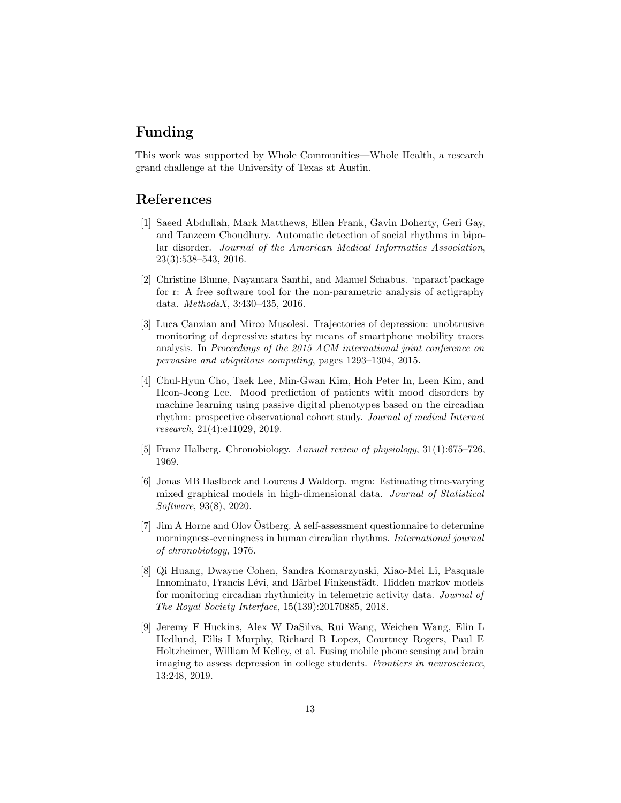## Funding

This work was supported by Whole Communities—Whole Health, a research grand challenge at the University of Texas at Austin.

## References

- <span id="page-12-4"></span>[1] Saeed Abdullah, Mark Matthews, Ellen Frank, Gavin Doherty, Geri Gay, and Tanzeem Choudhury. Automatic detection of social rhythms in bipolar disorder. Journal of the American Medical Informatics Association, 23(3):538–543, 2016.
- <span id="page-12-2"></span>[2] Christine Blume, Nayantara Santhi, and Manuel Schabus. 'nparact'package for r: A free software tool for the non-parametric analysis of actigraphy data. MethodsX, 3:430–435, 2016.
- <span id="page-12-5"></span>[3] Luca Canzian and Mirco Musolesi. Trajectories of depression: unobtrusive monitoring of depressive states by means of smartphone mobility traces analysis. In Proceedings of the 2015 ACM international joint conference on pervasive and ubiquitous computing, pages 1293–1304, 2015.
- <span id="page-12-3"></span>[4] Chul-Hyun Cho, Taek Lee, Min-Gwan Kim, Hoh Peter In, Leen Kim, and Heon-Jeong Lee. Mood prediction of patients with mood disorders by machine learning using passive digital phenotypes based on the circadian rhythm: prospective observational cohort study. Journal of medical Internet research, 21(4):e11029, 2019.
- <span id="page-12-1"></span>[5] Franz Halberg. Chronobiology. Annual review of physiology, 31(1):675–726, 1969.
- <span id="page-12-8"></span>[6] Jonas MB Haslbeck and Lourens J Waldorp. mgm: Estimating time-varying mixed graphical models in high-dimensional data. Journal of Statistical Software, 93(8), 2020.
- <span id="page-12-0"></span> $[7]$  Jim A Horne and Olov Östberg. A self-assessment questionnaire to determine morningness-eveningness in human circadian rhythms. International journal of chronobiology, 1976.
- <span id="page-12-7"></span>[8] Qi Huang, Dwayne Cohen, Sandra Komarzynski, Xiao-Mei Li, Pasquale Innominato, Francis Lévi, and Bärbel Finkenstädt. Hidden markov models for monitoring circadian rhythmicity in telemetric activity data. Journal of The Royal Society Interface, 15(139):20170885, 2018.
- <span id="page-12-6"></span>[9] Jeremy F Huckins, Alex W DaSilva, Rui Wang, Weichen Wang, Elin L Hedlund, Eilis I Murphy, Richard B Lopez, Courtney Rogers, Paul E Holtzheimer, William M Kelley, et al. Fusing mobile phone sensing and brain imaging to assess depression in college students. Frontiers in neuroscience, 13:248, 2019.